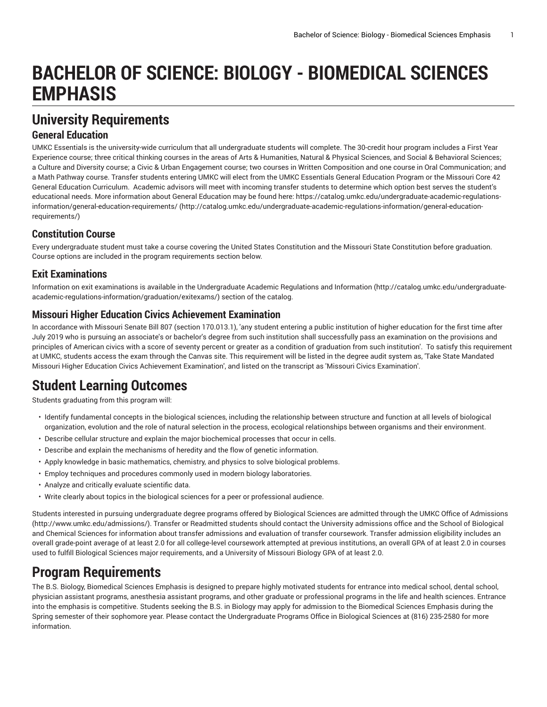# **BACHELOR OF SCIENCE: BIOLOGY - BIOMEDICAL SCIENCES EMPHASIS**

# **University Requirements**

### **General Education**

UMKC Essentials is the university-wide curriculum that all undergraduate students will complete. The 30-credit hour program includes a First Year Experience course; three critical thinking courses in the areas of Arts & Humanities, Natural & Physical Sciences, and Social & Behavioral Sciences; a Culture and Diversity course; a Civic & Urban Engagement course; two courses in Written Composition and one course in Oral Communication; and a Math Pathway course. Transfer students entering UMKC will elect from the UMKC Essentials General Education Program or the Missouri Core 42 General Education Curriculum. Academic advisors will meet with incoming transfer students to determine which option best serves the student's educational needs. More information about General Education may be found here: [https://catalog.umkc.edu/undergraduate-academic-regulations](http://catalog.umkc.edu/undergraduate-academic-regulations-information/general-education-requirements/)[information/general-education-requirements/](http://catalog.umkc.edu/undergraduate-academic-regulations-information/general-education-requirements/) ([http://catalog.umkc.edu/undergraduate-academic-regulations-information/general-education](http://catalog.umkc.edu/undergraduate-academic-regulations-information/general-education-requirements/)[requirements/\)](http://catalog.umkc.edu/undergraduate-academic-regulations-information/general-education-requirements/)

### **Constitution Course**

Every undergraduate student must take a course covering the United States Constitution and the Missouri State Constitution before graduation. Course options are included in the program requirements section below.

### **Exit Examinations**

Information on exit examinations is available in the [Undergraduate](http://catalog.umkc.edu/undergraduate-academic-regulations-information/graduation/exitexams/) Academic Regulations and Information [\(http://catalog.umkc.edu/undergraduate](http://catalog.umkc.edu/undergraduate-academic-regulations-information/graduation/exitexams/)[academic-regulations-information/graduation/exitexams/](http://catalog.umkc.edu/undergraduate-academic-regulations-information/graduation/exitexams/)) section of the catalog.

### **Missouri Higher Education Civics Achievement Examination**

In accordance with Missouri Senate Bill 807 (section 170.013.1), 'any student entering a public institution of higher education for the first time after July 2019 who is pursuing an associate's or bachelor's degree from such institution shall successfully pass an examination on the provisions and principles of American civics with a score of seventy percent or greater as a condition of graduation from such institution'. To satisfy this requirement at UMKC, students access the exam through the Canvas site. This requirement will be listed in the degree audit system as, 'Take State Mandated Missouri Higher Education Civics Achievement Examination', and listed on the transcript as 'Missouri Civics Examination'.

# **Student Learning Outcomes**

Students graduating from this program will:

- Identify fundamental concepts in the biological sciences, including the relationship between structure and function at all levels of biological organization, evolution and the role of natural selection in the process, ecological relationships between organisms and their environment.
- Describe cellular structure and explain the major biochemical processes that occur in cells.
- Describe and explain the mechanisms of heredity and the flow of genetic information.
- Apply knowledge in basic mathematics, chemistry, and physics to solve biological problems.
- Employ techniques and procedures commonly used in modern biology laboratories.
- Analyze and critically evaluate scientific data.
- Write clearly about topics in the biological sciences for a peer or professional audience.

Students interested in pursuing undergraduate degree programs offered by Biological Sciences are admitted through the UMKC Office of [Admissions](http://www.umkc.edu/admissions/) (<http://www.umkc.edu/admissions/>). Transfer or Readmitted students should contact the University admissions office and the School of Biological and Chemical Sciences for information about transfer admissions and evaluation of transfer coursework. Transfer admission eligibility includes an overall grade-point average of at least 2.0 for all college-level coursework attempted at previous institutions, an overall GPA of at least 2.0 in courses used to fulfill Biological Sciences major requirements, and a University of Missouri Biology GPA of at least 2.0.

## **Program Requirements**

The B.S. Biology, Biomedical Sciences Emphasis is designed to prepare highly motivated students for entrance into medical school, dental school, physician assistant programs, anesthesia assistant programs, and other graduate or professional programs in the life and health sciences. Entrance into the emphasis is competitive. Students seeking the B.S. in Biology may apply for admission to the Biomedical Sciences Emphasis during the Spring semester of their sophomore year. Please contact the Undergraduate Programs Office in Biological Sciences at (816) 235-2580 for more information.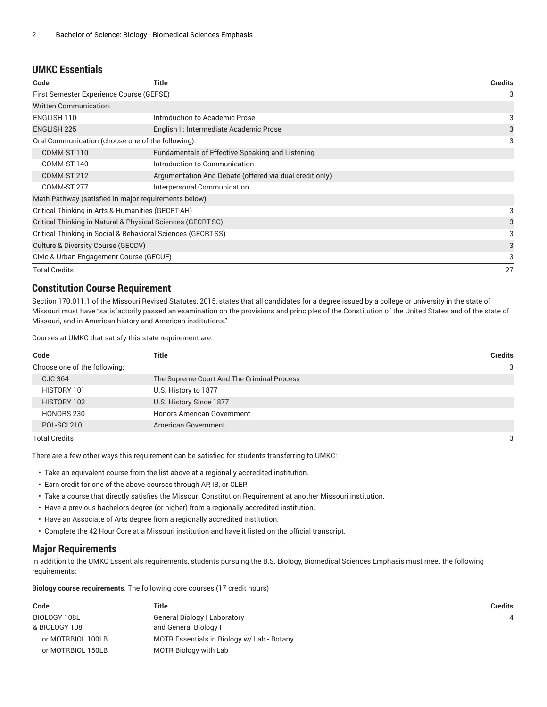#### **UMKC Essentials**

| Code                                                         | Title                                                   | <b>Credits</b> |
|--------------------------------------------------------------|---------------------------------------------------------|----------------|
| First Semester Experience Course (GEFSE)                     |                                                         |                |
| <b>Written Communication:</b>                                |                                                         |                |
| ENGLISH 110                                                  | Introduction to Academic Prose                          | 3              |
| <b>ENGLISH 225</b>                                           | English II: Intermediate Academic Prose                 | 3              |
| Oral Communication (choose one of the following):            |                                                         | 3              |
| COMM-ST 110                                                  | Fundamentals of Effective Speaking and Listening        |                |
| COMM-ST 140                                                  | Introduction to Communication                           |                |
| COMM-ST 212                                                  | Argumentation And Debate (offered via dual credit only) |                |
| COMM-ST 277                                                  | Interpersonal Communication                             |                |
| Math Pathway (satisfied in major requirements below)         |                                                         |                |
| Critical Thinking in Arts & Humanities (GECRT-AH)            |                                                         | 3              |
| Critical Thinking in Natural & Physical Sciences (GECRT-SC)  |                                                         |                |
| Critical Thinking in Social & Behavioral Sciences (GECRT-SS) |                                                         |                |
| Culture & Diversity Course (GECDV)                           |                                                         |                |
| Civic & Urban Engagement Course (GECUE)                      |                                                         | 3              |
| Total Credits                                                |                                                         | 27             |

#### **Constitution Course Requirement**

Section 170.011.1 of the Missouri Revised Statutes, 2015, states that all candidates for a degree issued by a college or university in the state of Missouri must have "satisfactorily passed an examination on the provisions and principles of the Constitution of the United States and of the state of Missouri, and in American history and American institutions."

Courses at UMKC that satisfy this state requirement are:

| Code                         | Title                                      | <b>Credits</b> |
|------------------------------|--------------------------------------------|----------------|
| Choose one of the following: |                                            | 3              |
| CJC 364                      | The Supreme Court And The Criminal Process |                |
| HISTORY 101                  | U.S. History to 1877                       |                |
| HISTORY 102                  | U.S. History Since 1877                    |                |
| HONORS 230                   | <b>Honors American Government</b>          |                |
| POL-SCI 210                  | American Government                        |                |
|                              |                                            |                |

Total Credits 3

There are a few other ways this requirement can be satisfied for students transferring to UMKC:

- Take an equivalent course from the list above at a regionally accredited institution.
- Earn credit for one of the above courses through AP, IB, or CLEP.
- Take a course that directly satisfies the Missouri Constitution Requirement at another Missouri institution.
- Have a previous bachelors degree (or higher) from a regionally accredited institution.
- Have an Associate of Arts degree from a regionally accredited institution.
- Complete the 42 Hour Core at a Missouri institution and have it listed on the official transcript.

#### **Major Requirements**

In addition to the UMKC Essentials requirements, students pursuing the B.S. Biology, Biomedical Sciences Emphasis must meet the following requirements:

**Biology course requirements**. The following core courses (17 credit hours)

| Code              | Title                                      | <b>Credits</b> |
|-------------------|--------------------------------------------|----------------|
| BIOLOGY 108L      | <b>General Biology I Laboratory</b>        |                |
| & BIOLOGY 108     | and General Biology I                      |                |
| or MOTRBIOL 100LB | MOTR Essentials in Biology w/ Lab - Botany |                |
| or MOTRBIOL 150LB | <b>MOTR Biology with Lab</b>               |                |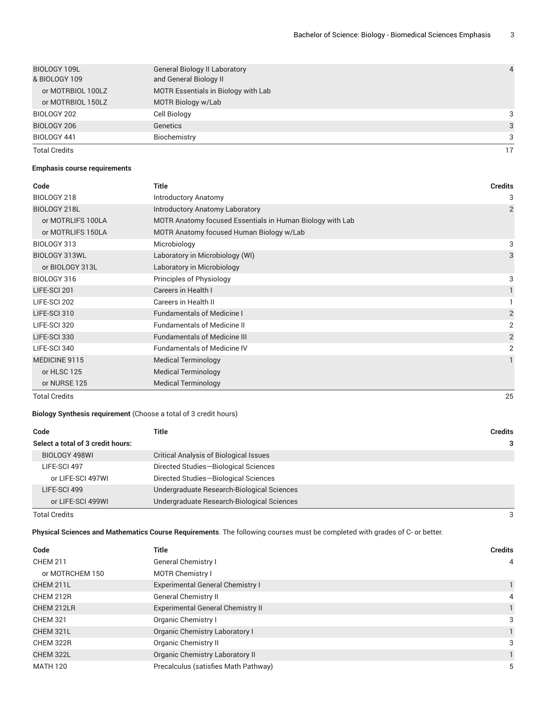| BIOLOGY 109L         | <b>General Biology II Laboratory</b> | $\overline{4}$ |
|----------------------|--------------------------------------|----------------|
| & BIOLOGY 109        | and General Biology II               |                |
| or MOTRBIOL 100LZ    | MOTR Essentials in Biology with Lab  |                |
| or MOTRBIOL 150LZ    | MOTR Biology w/Lab                   |                |
| BIOLOGY 202          | Cell Biology                         | 3              |
| BIOLOGY 206          | Genetics                             | 3              |
| BIOLOGY 441          | Biochemistry                         | 3              |
| <b>Total Credits</b> |                                      | 17             |

#### **Emphasis course requirements**

| Code                 | <b>Title</b>                                              | <b>Credits</b> |
|----------------------|-----------------------------------------------------------|----------------|
| BIOLOGY 218          | <b>Introductory Anatomy</b>                               | 3              |
| BIOLOGY 218L         | Introductory Anatomy Laboratory                           | $\overline{2}$ |
| or MOTRLIFS 100LA    | MOTR Anatomy focused Essentials in Human Biology with Lab |                |
| or MOTRLIFS 150LA    | MOTR Anatomy focused Human Biology w/Lab                  |                |
| BIOLOGY 313          | Microbiology                                              | 3              |
| BIOLOGY 313WL        | Laboratory in Microbiology (WI)                           | 3              |
| or BIOLOGY 313L      | Laboratory in Microbiology                                |                |
| BIOLOGY 316          | Principles of Physiology                                  | 3              |
| LIFE-SCI 201         | Careers in Health I                                       |                |
| LIFE-SCI 202         | Careers in Health II                                      |                |
| LIFE-SCI 310         | <b>Fundamentals of Medicine I</b>                         | $\overline{2}$ |
| LIFE-SCI 320         | <b>Fundamentals of Medicine II</b>                        | 2              |
| LIFE-SCI 330         | <b>Fundamentals of Medicine III</b>                       | $\overline{2}$ |
| LIFE-SCI 340         | <b>Fundamentals of Medicine IV</b>                        | 2              |
| MEDICINE 9115        | <b>Medical Terminology</b>                                |                |
| or HLSC 125          | <b>Medical Terminology</b>                                |                |
| or NURSE 125         | <b>Medical Terminology</b>                                |                |
| <b>Total Credits</b> |                                                           | 25             |

#### **Biology Synthesis requirement** (Choose a total of 3 credit hours)

| Code |                                   | Title                                         | <b>Credits</b> |
|------|-----------------------------------|-----------------------------------------------|----------------|
|      | Select a total of 3 credit hours: |                                               | 3              |
|      | BIOLOGY 498WI                     | <b>Critical Analysis of Biological Issues</b> |                |
|      | LIFE-SCI 497                      | Directed Studies-Biological Sciences          |                |
|      | or LIFE-SCI 497WI                 | Directed Studies-Biological Sciences          |                |
|      | LIFE-SCI 499                      | Undergraduate Research-Biological Sciences    |                |
|      | or LIFE-SCI 499WI                 | Undergraduate Research-Biological Sciences    |                |

Total Credits 3

**Physical Sciences and Mathematics Course Requirements**. The following courses must be completed with grades of C- or better.

| Code            | Title                                    | <b>Credits</b> |
|-----------------|------------------------------------------|----------------|
| <b>CHEM 211</b> | <b>General Chemistry I</b>               | $\overline{4}$ |
| or MOTRCHEM 150 | <b>MOTR Chemistry I</b>                  |                |
| CHEM 211L       | <b>Experimental General Chemistry I</b>  |                |
| CHEM 212R       | <b>General Chemistry II</b>              | 4              |
| CHEM 212LR      | <b>Experimental General Chemistry II</b> |                |
| <b>CHEM 321</b> | Organic Chemistry I                      | 3              |
| CHEM 321L       | Organic Chemistry Laboratory I           |                |
| CHEM 322R       | Organic Chemistry II                     | 3              |
| CHEM 322L       | Organic Chemistry Laboratory II          |                |
| <b>MATH 120</b> | Precalculus (satisfies Math Pathway)     | 5              |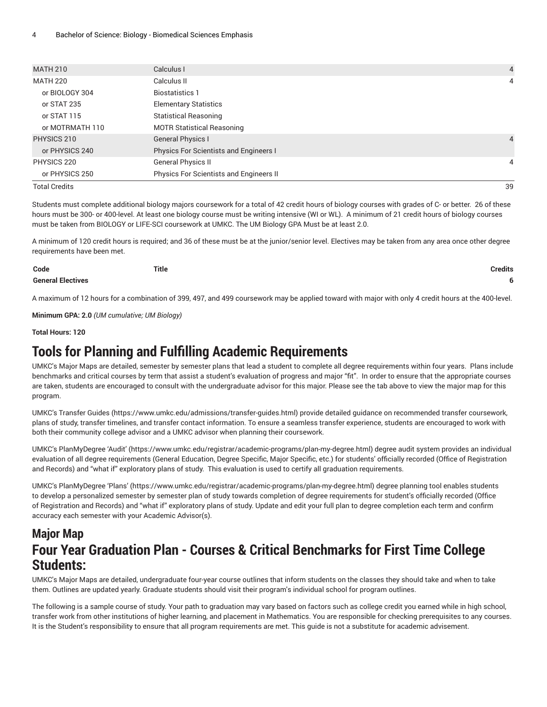| <b>MATH 210</b>      | Calculus I                                    | $\overline{4}$ |
|----------------------|-----------------------------------------------|----------------|
| <b>MATH 220</b>      | Calculus II                                   | 4              |
| or BIOLOGY 304       | <b>Biostatistics 1</b>                        |                |
| or STAT 235          | <b>Elementary Statistics</b>                  |                |
| or STAT 115          | <b>Statistical Reasoning</b>                  |                |
| or MOTRMATH 110      | <b>MOTR Statistical Reasoning</b>             |                |
| PHYSICS 210          | <b>General Physics I</b>                      | $\overline{4}$ |
| or PHYSICS 240       | <b>Physics For Scientists and Engineers I</b> |                |
| PHYSICS 220          | General Physics II                            | 4              |
| or PHYSICS 250       | Physics For Scientists and Engineers II       |                |
| <b>Total Credits</b> |                                               | 39             |

Students must complete additional biology majors coursework for a total of 42 credit hours of biology courses with grades of C- or better. 26 of these hours must be 300- or 400-level. At least one biology course must be writing intensive (WI or WL). A minimum of 21 credit hours of biology courses must be taken from BIOLOGY or LIFE-SCI coursework at UMKC. The UM Biology GPA Must be at least 2.0.

A minimum of 120 credit hours is required; and 36 of these must be at the junior/senior level. Electives may be taken from any area once other degree requirements have been met.

| Code                     | <b>Title</b> | <b>Credits</b> |
|--------------------------|--------------|----------------|
| <b>General Electives</b> |              |                |

A maximum of 12 hours for a combination of 399, 497, and 499 coursework may be applied toward with major with only 4 credit hours at the 400-level.

**Minimum GPA: 2.0** *(UM cumulative; UM Biology)*

**Total Hours: 120**

### **Tools for Planning and Fulfilling Academic Requirements**

UMKC's Major Maps are detailed, semester by semester plans that lead a student to complete all degree requirements within four years. Plans include benchmarks and critical courses by term that assist a student's evaluation of progress and major "fit". In order to ensure that the appropriate courses are taken, students are encouraged to consult with the undergraduate advisor for this major. Please see the tab above to view the major map for this program.

UMKC's [Transfer](https://www.umkc.edu/admissions/transfer-guides.html) Guides [\(https://www.umkc.edu/admissions/transfer-guides.html](https://www.umkc.edu/admissions/transfer-guides.html)) provide detailed guidance on recommended transfer coursework, plans of study, transfer timelines, and transfer contact information. To ensure a seamless transfer experience, students are encouraged to work with both their community college advisor and a UMKC advisor when planning their coursework.

UMKC's [PlanMyDegree](https://www.umkc.edu/registrar/academic-programs/plan-my-degree.html) 'Audit' ([https://www.umkc.edu/registrar/academic-programs/plan-my-degree.html\)](https://www.umkc.edu/registrar/academic-programs/plan-my-degree.html) degree audit system provides an individual evaluation of all degree requirements (General Education, Degree Specific, Major Specific, etc.) for students' officially recorded (Office of Registration and Records) and "what if" exploratory plans of study. This evaluation is used to certify all graduation requirements.

UMKC's [PlanMyDegree](https://www.umkc.edu/registrar/academic-programs/plan-my-degree.html) 'Plans' [\(https://www.umkc.edu/registrar/academic-programs/plan-my-degree.html\)](https://www.umkc.edu/registrar/academic-programs/plan-my-degree.html) degree planning tool enables students to develop a personalized semester by semester plan of study towards completion of degree requirements for student's officially recorded (Office of Registration and Records) and "what if" exploratory plans of study. Update and edit your full plan to degree completion each term and confirm accuracy each semester with your Academic Advisor(s).

### **Major Map Four Year Graduation Plan - Courses & Critical Benchmarks for First Time College Students:**

UMKC's Major Maps are detailed, undergraduate four-year course outlines that inform students on the classes they should take and when to take them. Outlines are updated yearly. Graduate students should visit their program's individual school for program outlines.

The following is a sample course of study. Your path to graduation may vary based on factors such as college credit you earned while in high school, transfer work from other institutions of higher learning, and placement in Mathematics. You are responsible for checking prerequisites to any courses. It is the Student's responsibility to ensure that all program requirements are met. This guide is not a substitute for academic advisement.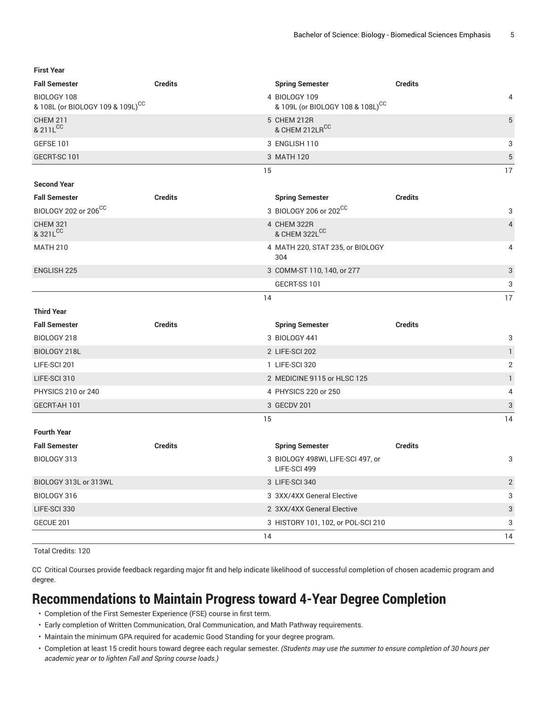**First Year**

| <b>Fall Semester</b>                                        | <b>Credits</b> | <b>Spring Semester</b>                            | <b>Credits</b> |
|-------------------------------------------------------------|----------------|---------------------------------------------------|----------------|
| BIOLOGY 108<br>& 108L (or BIOLOGY 109 & 109L) <sup>CC</sup> |                | 4 BIOLOGY 109<br>& 109L (or BIOLOGY 108 & 108L)CC | 4              |
| <b>CHEM 211</b><br>& 211LCC                                 |                | 5 CHEM 212R<br>& CHEM 212LRCC                     | 5              |
| GEFSE 101                                                   |                | 3 ENGLISH 110                                     | 3              |
| GECRT-SC 101                                                |                | 3 MATH 120                                        | 5              |
|                                                             | 15             |                                                   | 17             |
| <b>Second Year</b>                                          |                |                                                   |                |
| <b>Fall Semester</b>                                        | <b>Credits</b> | <b>Spring Semester</b>                            | <b>Credits</b> |
| BIOLOGY 202 or 206CC                                        |                | 3 BIOLOGY 206 or 202CC                            | 3              |
| <b>CHEM 321</b><br>& 321LCC                                 |                | 4 CHEM 322R<br>& CHEM 322LCC                      | $\overline{4}$ |
| <b>MATH 210</b>                                             |                | 4 MATH 220, STAT 235, or BIOLOGY<br>304           | 4              |
| <b>ENGLISH 225</b>                                          |                | 3 COMM-ST 110, 140, or 277                        | 3              |
|                                                             |                | GECRT-SS 101                                      | 3              |
|                                                             | 14             |                                                   | 17             |
| <b>Third Year</b>                                           |                |                                                   |                |
| <b>Fall Semester</b>                                        | <b>Credits</b> | <b>Spring Semester</b>                            | <b>Credits</b> |
| BIOLOGY 218                                                 |                | 3 BIOLOGY 441                                     | 3              |
| BIOLOGY 218L                                                |                | 2 LIFE-SCI 202                                    | $\mathbf{1}$   |
| LIFE-SCI 201                                                |                | 1 LIFE-SCI 320                                    | 2              |
| LIFE-SCI 310                                                |                | 2 MEDICINE 9115 or HLSC 125                       | $\mathbf{1}$   |
| PHYSICS 210 or 240                                          |                | 4 PHYSICS 220 or 250                              | 4              |
| GECRT-AH 101                                                |                | 3 GECDV 201                                       | 3              |
|                                                             | 15             |                                                   | 14             |
| <b>Fourth Year</b>                                          |                |                                                   |                |
| <b>Fall Semester</b>                                        | <b>Credits</b> | <b>Spring Semester</b>                            | <b>Credits</b> |
| BIOLOGY 313                                                 |                | 3 BIOLOGY 498WI, LIFE-SCI 497, or<br>LIFE-SCI 499 | 3              |
| BIOLOGY 313L or 313WL                                       |                | 3 LIFE-SCI 340                                    | $\mathbf{2}$   |
| BIOLOGY 316                                                 |                | 3 3XX/4XX General Elective                        | 3              |
| LIFE-SCI 330                                                |                | 2 3XX/4XX General Elective                        | 3              |
| GECUE 201                                                   |                | 3 HISTORY 101, 102, or POL-SCI 210                | 3              |
|                                                             | 14             |                                                   | 14             |

Total Credits: 120

CC Critical Courses provide feedback regarding major fit and help indicate likelihood of successful completion of chosen academic program and degree.

# **Recommendations to Maintain Progress toward 4-Year Degree Completion**

- Completion of the First Semester Experience (FSE) course in first term.
- Early completion of Written Communication, Oral Communication, and Math Pathway requirements.
- Maintain the minimum GPA required for academic Good Standing for your degree program.
- Completion at least 15 credit hours toward degree each regular semester. *(Students may use the summer to ensure completion of 30 hours per academic year or to lighten Fall and Spring course loads.)*